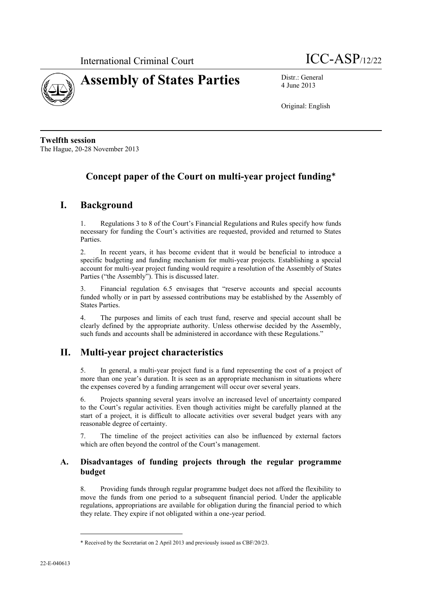



4 June 2013

Original: English

**Twelfth session** The Hague, 20-28 November 2013

# **Concept paper of the Court on multi-year project funding**\*

## **I. Background**

1. Regulations 3 to 8 of the Court's Financial Regulations and Rules specify how funds necessary for funding the Court's activities are requested, provided and returned to States **Parties** 

2. In recent years, it has become evident that it would be beneficial to introduce a specific budgeting and funding mechanism for multi-year projects. Establishing a special account for multi-year project funding would require a resolution of the Assembly of States Parties ("the Assembly"). This is discussed later.

3. Financial regulation 6.5 envisages that "reserve accounts and special accounts funded wholly or in part by assessed contributions may be established by the Assembly of States Parties.

4. The purposes and limits of each trust fund, reserve and special account shall be clearly defined by the appropriate authority. Unless otherwise decided by the Assembly, such funds and accounts shall be administered in accordance with these Regulations."

# **II. Multi-year project characteristics**

5. In general, a multi-year project fund is a fund representing the cost of a project of more than one year's duration. It is seen as an appropriate mechanism in situations where the expenses covered by a funding arrangement will occur over several years.

6. Projects spanning several years involve an increased level of uncertainty compared to the Court's regular activities. Even though activities might be carefully planned at the start of a project, it is difficult to allocate activities over several budget years with any reasonable degree of certainty.

7. The timeline of the project activities can also be influenced by external factors which are often beyond the control of the Court's management.

### **A. Disadvantages of funding projects through the regular programme budget**

8. Providing funds through regular programme budget does not afford the flexibility to move the funds from one period to a subsequent financial period. Under the applicable regulations, appropriations are available for obligation during the financial period to which they relate. They expire if not obligated within a one-year period.

 $\overline{\phantom{a}}$ 

<sup>\*</sup> Received by the Secretariat on 2 April 2013 and previously issued as CBF/20/23.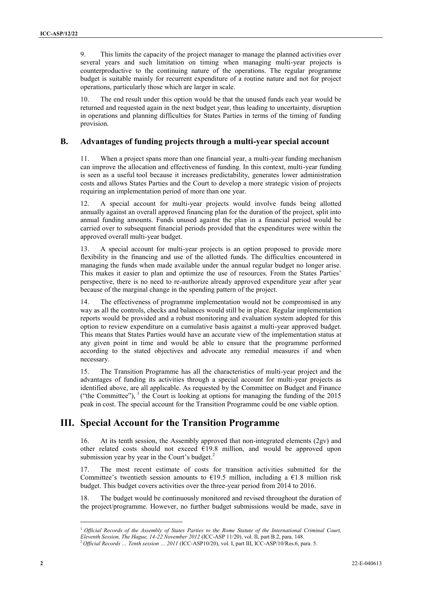9. This limits the capacity of the project manager to manage the planned activities over several years and such limitation on timing when managing multi-year projects is counterproductive to the continuing nature of the operations. The regular programme budget is suitable mainly for recurrent expenditure of a routine nature and not for project operations, particularly those which are larger in scale.

10. The end result under this option would be that the unused funds each year would be returned and requested again in the next budget year, thus leading to uncertainty, disruption in operations and planning difficulties for States Parties in terms of the timing of funding provision.

#### **B. Advantages of funding projects through a multi-year special account**

11. When a project spans more than one financial year, a multi-year funding mechanism can improve the allocation and effectiveness of funding. In this context, multi-year funding is seen as a useful tool because it increases predictability, generates lower administration costs and allows States Parties and the Court to develop a more strategic vision of projects requiring an implementation period of more than one year.

12. A special account for multi-year projects would involve funds being allotted annually against an overall approved financing plan for the duration of the project, split into annual funding amounts. Funds unused against the plan in a financial period would be carried over to subsequent financial periods provided that the expenditures were within the approved overall multi-year budget.

13. A special account for multi-year projects is an option proposed to provide more flexibility in the financing and use of the allotted funds. The difficulties encountered in managing the funds when made available under the annual regular budget no longer arise. This makes it easier to plan and optimize the use of resources. From the States Parties' perspective, there is no need to re-authorize already approved expenditure year after year because of the marginal change in the spending pattern of the project.

14. The effectiveness of programme implementation would not be compromised in any way as all the controls, checks and balances would still be in place. Regular implementation reports would be provided and a robust monitoring and evaluation system adopted for this option to review expenditure on a cumulative basis against a multi-year approved budget. This means that States Parties would have an accurate view of the implementation status at any given point in time and would be able to ensure that the programme performed according to the stated objectives and advocate any remedial measures if and when necessary.

15. The Transition Programme has all the characteristics of multi-year project and the advantages of funding its activities through a special account for multi-year projects as identified above, are all applicable. As requested by the Committee on Budget and Finance ("the Committee"),  $\frac{1}{1}$  the Court is looking at options for managing the funding of the 2015 peak in cost. The special account for the Transition Programme could be one viable option.

## **III. Special Account for the Transition Programme**

16. At its tenth session, the Assembly approved that non-integrated elements (2gv) and other related costs should not exceed  $\widehat{E19.8}$  million, and would be approved upon submission year by year in the Court's budget. $<sup>2</sup>$ </sup>

17. The most recent estimate of costs for transition activities submitted for the Committee's twentieth session amounts to  $\epsilon$ 19.5 million, including a  $\epsilon$ 1.8 million risk budget. This budget covers activities over the three-year period from 2014 to 2016.

18. The budget would be continuously monitored and revised throughout the duration of the project/programme. However, no further budget submissions would be made, save in

 $\overline{a}$ 

<sup>1</sup> *Official Records of the Assembly of States Parties to the Rome Statute of the International Criminal Court,* 

*Eleventh Session, The Hague, 14-22 November 2012* (ICC-ASP 11/20), vol. II, part B.2, para. 148.<br>
<sup>2</sup> Official Passads Turille Turille

<sup>2</sup> *Official Records … Tenth session … 2011* (ICC-ASP10/20), vol. I, part III, ICC-ASP/10/Res.6, para. 5.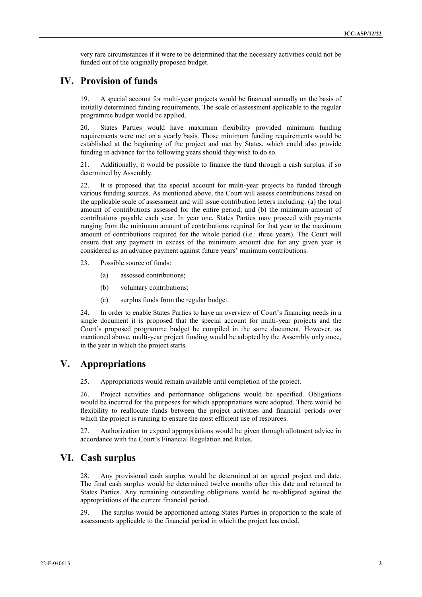very rare circumstances if it were to be determined that the necessary activities could not be funded out of the originally proposed budget.

### **IV. Provision of funds**

19. A special account for multi-year projects would be financed annually on the basis of initially determined funding requirements. The scale of assessment applicable to the regular programme budget would be applied.

20. States Parties would have maximum flexibility provided minimum funding requirements were met on a yearly basis. Those minimum funding requirements would be established at the beginning of the project and met by States, which could also provide funding in advance for the following years should they wish to do so.

21. Additionally, it would be possible to finance the fund through a cash surplus, if so determined by Assembly.

22. It is proposed that the special account for multi-year projects be funded through various funding sources. As mentioned above, the Court will assess contributions based on the applicable scale of assessment and will issue contribution letters including: (a) the total amount of contributions assessed for the entire period; and (b) the minimum amount of contributions payable each year. In year one, States Parties may proceed with payments ranging from the minimum amount of contributions required for that year to the maximum amount of contributions required for the whole period (i.e.: three years). The Court will ensure that any payment in excess of the minimum amount due for any given year is considered as an advance payment against future years' minimum contributions.

23. Possible source of funds:

- (a) assessed contributions;
- (b) voluntary contributions;
- (c) surplus funds from the regular budget.

24. In order to enable States Parties to have an overview of Court's financing needs in a single document it is proposed that the special account for multi-year projects and the Court's proposed programme budget be compiled in the same document. However, as mentioned above, multi-year project funding would be adopted by the Assembly only once, in the year in which the project starts.

## **V. Appropriations**

25. Appropriations would remain available until completion of the project.

26. Project activities and performance obligations would be specified. Obligations would be incurred for the purposes for which appropriations were adopted. There would be flexibility to reallocate funds between the project activities and financial periods over which the project is running to ensure the most efficient use of resources.

27. Authorization to expend appropriations would be given through allotment advice in accordance with the Court's Financial Regulation and Rules.

### **VI. Cash surplus**

28. Any provisional cash surplus would be determined at an agreed project end date. The final cash surplus would be determined twelve months after this date and returned to States Parties. Any remaining outstanding obligations would be re-obligated against the appropriations of the current financial period.

29. The surplus would be apportioned among States Parties in proportion to the scale of assessments applicable to the financial period in which the project has ended.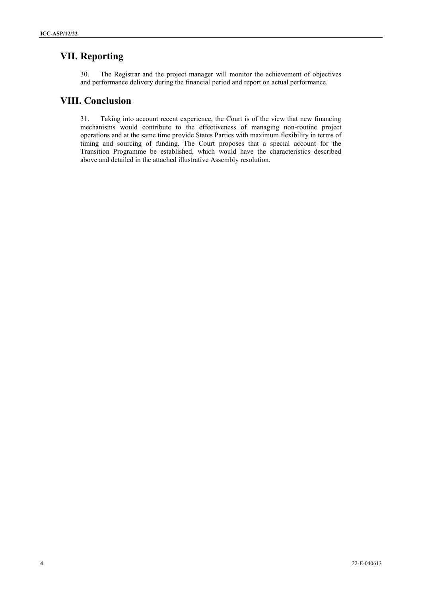## **VII. Reporting**

30. The Registrar and the project manager will monitor the achievement of objectives and performance delivery during the financial period and report on actual performance.

## **VIII. Conclusion**

31. Taking into account recent experience, the Court is of the view that new financing mechanisms would contribute to the effectiveness of managing non-routine project operations and at the same time provide States Parties with maximum flexibility in terms of timing and sourcing of funding. The Court proposes that a special account for the Transition Programme be established, which would have the characteristics described above and detailed in the attached illustrative Assembly resolution.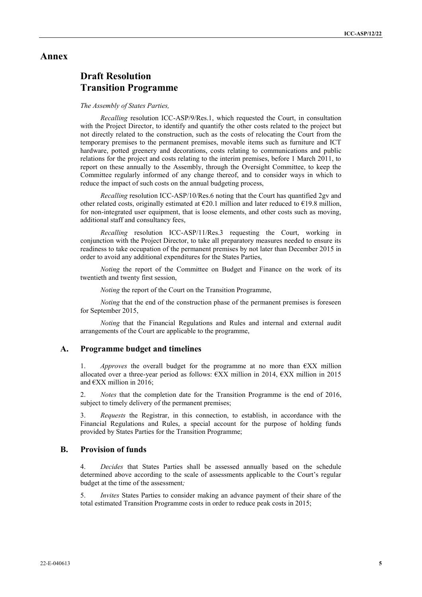#### **Annex**

# **Draft Resolution Transition Programme**

#### *The Assembly of States Parties,*

*Recalling* resolution ICC-ASP/9/Res.1, which requested the Court, in consultation with the Project Director, to identify and quantify the other costs related to the project but not directly related to the construction, such as the costs of relocating the Court from the temporary premises to the permanent premises, movable items such as furniture and ICT hardware, potted greenery and decorations, costs relating to communications and public relations for the project and costs relating to the interim premises, before 1 March 2011, to report on these annually to the Assembly, through the Oversight Committee, to keep the Committee regularly informed of any change thereof, and to consider ways in which to reduce the impact of such costs on the annual budgeting process,

*Recalling* resolution ICC-ASP/10/Res.6 noting that the Court has quantified 2gv and other related costs, originally estimated at  $E20.1$  million and later reduced to  $E19.8$  million, for non-integrated user equipment, that is loose elements, and other costs such as moving, additional staff and consultancy fees,

*Recalling* resolution ICC-ASP/11/Res.3 requesting the Court, working in conjunction with the Project Director, to take all preparatory measures needed to ensure its readiness to take occupation of the permanent premises by not later than December 2015 in order to avoid any additional expenditures for the States Parties,

*Noting* the report of the Committee on Budget and Finance on the work of its twentieth and twenty first session,

*Noting* the report of the Court on the Transition Programme,

*Noting* that the end of the construction phase of the permanent premises is foreseen for September 2015,

*Noting* that the Financial Regulations and Rules and internal and external audit arrangements of the Court are applicable to the programme,

#### **A. Programme budget and timelines**

*Approves* the overall budget for the programme at no more than  $\notin XX$  million allocated over a three-year period as follows:  $\epsilon$ XX million in 2014,  $\epsilon$ XX million in 2015 and  $\epsilon$ XX million in 2016;

2. *Notes* that the completion date for the Transition Programme is the end of 2016, subject to timely delivery of the permanent premises;

3. *Requests* the Registrar, in this connection, to establish, in accordance with the Financial Regulations and Rules, a special account for the purpose of holding funds provided by States Parties for the Transition Programme;

#### **B. Provision of funds**

4. *Decides* that States Parties shall be assessed annually based on the schedule determined above according to the scale of assessments applicable to the Court's regular budget at the time of the assessment*;*

5. *Invites* States Parties to consider making an advance payment of their share of the total estimated Transition Programme costs in order to reduce peak costs in 2015;